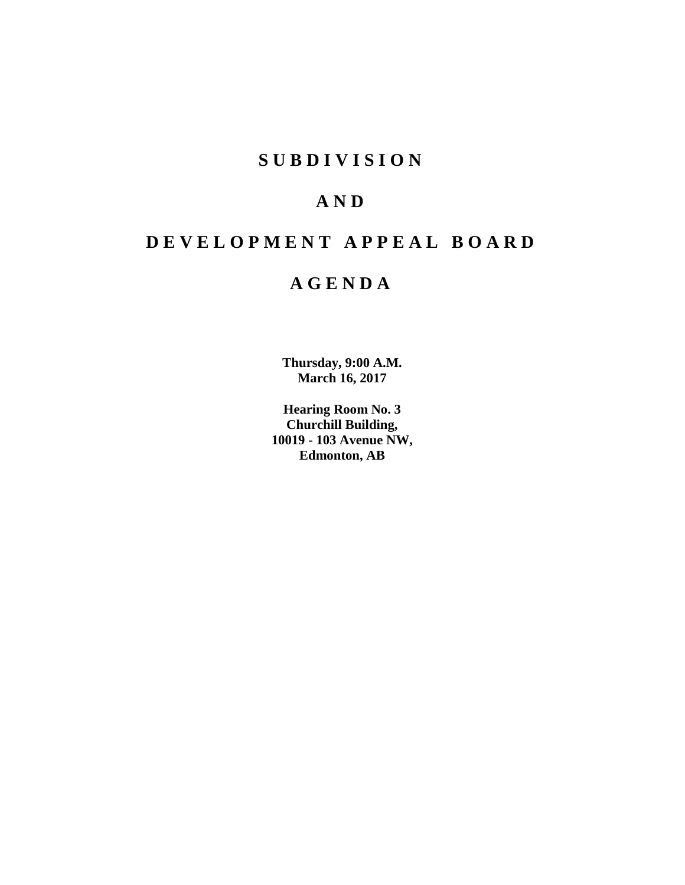## **SUBDIVISION**

## **AND**

## **DEVELOPMENT APPEAL BOARD**

## **AGENDA**

**Thursday, 9:00 A.M. March 16, 2017**

**Hearing Room No. 3 Churchill Building, 10019 - 103 Avenue NW, Edmonton, AB**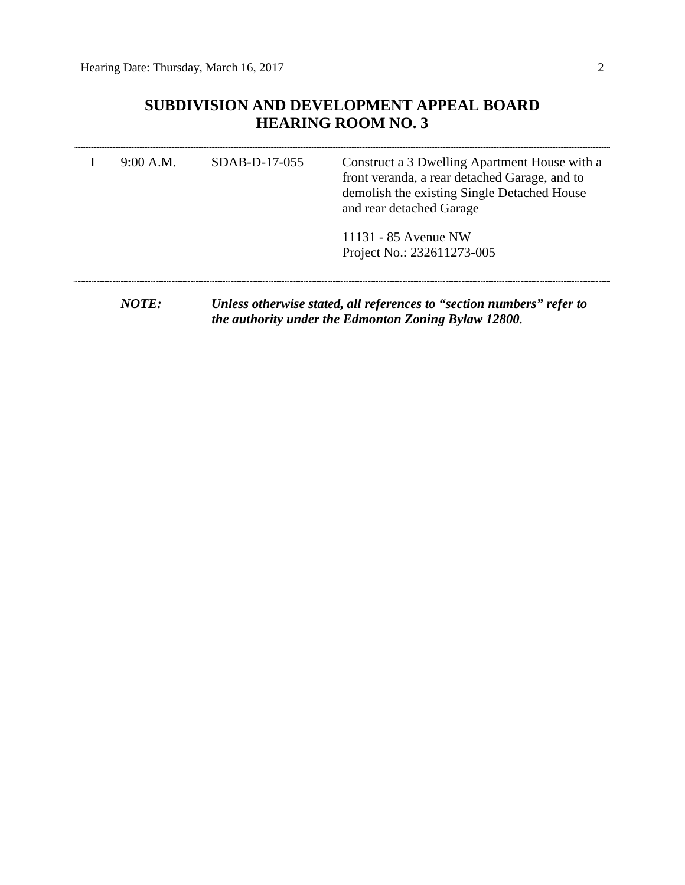## **SUBDIVISION AND DEVELOPMENT APPEAL BOARD HEARING ROOM NO. 3**

| 9:00 A.M.    | $SDAB-D-17-055$ | Construct a 3 Dwelling Apartment House with a<br>front veranda, a rear detached Garage, and to<br>demolish the existing Single Detached House<br>and rear detached Garage |  |  |
|--------------|-----------------|---------------------------------------------------------------------------------------------------------------------------------------------------------------------------|--|--|
|              |                 | 11131 - 85 Avenue NW<br>Project No.: 232611273-005                                                                                                                        |  |  |
| <i>NOTE:</i> |                 | Unless otherwise stated, all references to "section numbers" refer to                                                                                                     |  |  |

*the authority under the Edmonton Zoning Bylaw 12800.*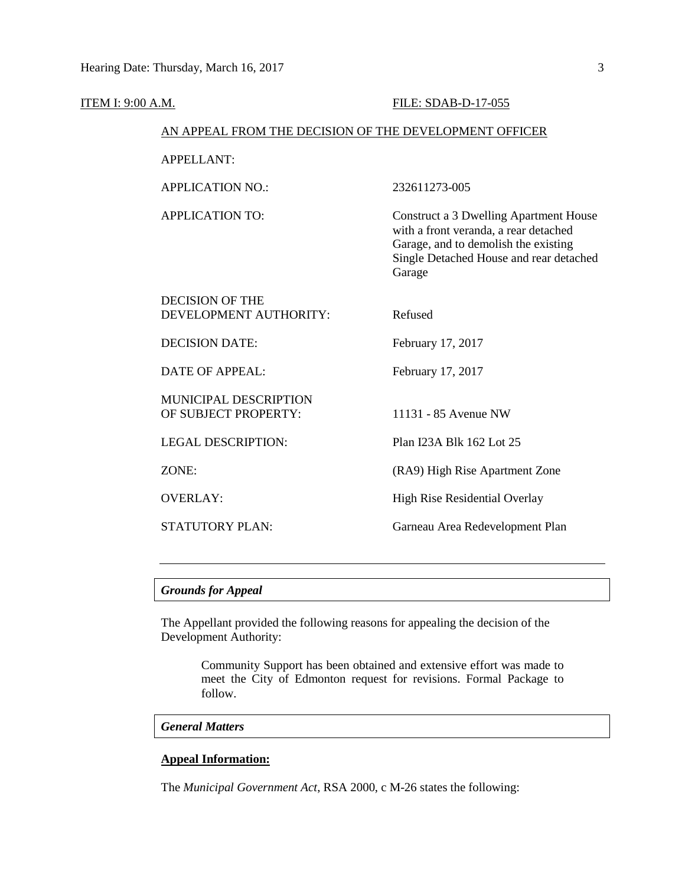| <b>ITEM I: 9:00 A.M.</b> |                                                        | FILE: SDAB-D-17-055                                                                                                                                                                 |  |  |  |  |  |
|--------------------------|--------------------------------------------------------|-------------------------------------------------------------------------------------------------------------------------------------------------------------------------------------|--|--|--|--|--|
|                          | AN APPEAL FROM THE DECISION OF THE DEVELOPMENT OFFICER |                                                                                                                                                                                     |  |  |  |  |  |
|                          | <b>APPELLANT:</b>                                      |                                                                                                                                                                                     |  |  |  |  |  |
|                          | <b>APPLICATION NO.:</b>                                | 232611273-005                                                                                                                                                                       |  |  |  |  |  |
|                          | <b>APPLICATION TO:</b>                                 | <b>Construct a 3 Dwelling Apartment House</b><br>with a front veranda, a rear detached<br>Garage, and to demolish the existing<br>Single Detached House and rear detached<br>Garage |  |  |  |  |  |
|                          | <b>DECISION OF THE</b><br>DEVELOPMENT AUTHORITY:       | Refused                                                                                                                                                                             |  |  |  |  |  |
|                          | <b>DECISION DATE:</b>                                  | February 17, 2017                                                                                                                                                                   |  |  |  |  |  |
|                          | <b>DATE OF APPEAL:</b>                                 | February 17, 2017                                                                                                                                                                   |  |  |  |  |  |
|                          | MUNICIPAL DESCRIPTION<br>OF SUBJECT PROPERTY:          | 11131 - 85 Avenue NW                                                                                                                                                                |  |  |  |  |  |
|                          | <b>LEGAL DESCRIPTION:</b>                              | Plan I23A Blk 162 Lot 25                                                                                                                                                            |  |  |  |  |  |
|                          | ZONE:                                                  | (RA9) High Rise Apartment Zone                                                                                                                                                      |  |  |  |  |  |
|                          | <b>OVERLAY:</b>                                        | <b>High Rise Residential Overlay</b>                                                                                                                                                |  |  |  |  |  |
|                          | <b>STATUTORY PLAN:</b>                                 | Garneau Area Redevelopment Plan                                                                                                                                                     |  |  |  |  |  |
|                          |                                                        |                                                                                                                                                                                     |  |  |  |  |  |

## *Grounds for Appeal*

The Appellant provided the following reasons for appealing the decision of the Development Authority:

> Community Support has been obtained and extensive effort was made to meet the City of Edmonton request for revisions. Formal Package to follow.

## *General Matters*

## **Appeal Information:**

The *Municipal Government Act*, RSA 2000, c M-26 states the following: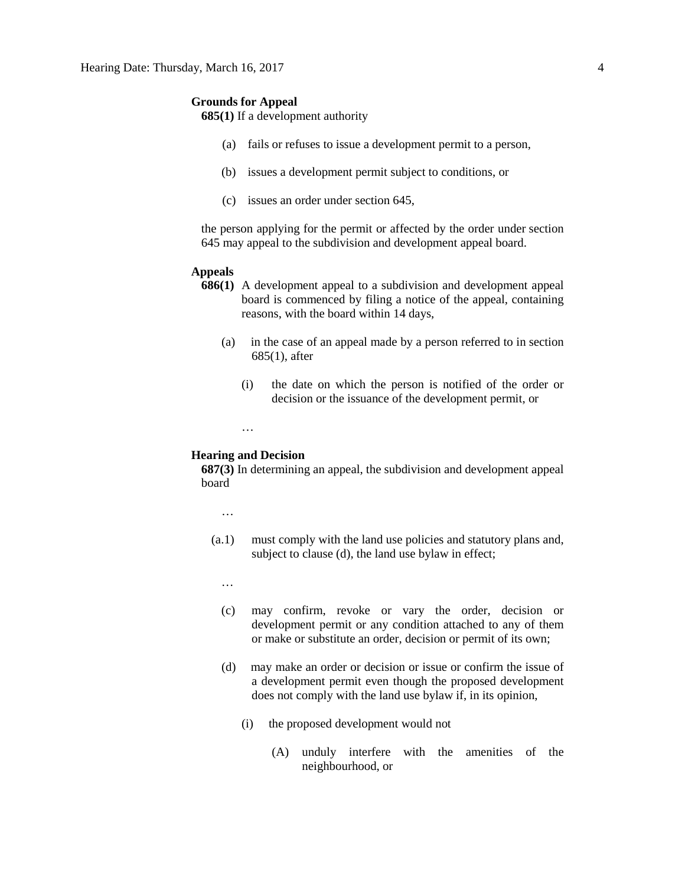## **Grounds for Appeal**

**685(1)** If a development authority

- (a) fails or refuses to issue a development permit to a person,
- (b) issues a development permit subject to conditions, or
- (c) issues an order under section 645,

the person applying for the permit or affected by the order under section 645 may appeal to the subdivision and development appeal board.

## **Appeals**

- **686(1)** A development appeal to a subdivision and development appeal board is commenced by filing a notice of the appeal, containing reasons, with the board within 14 days,
	- (a) in the case of an appeal made by a person referred to in section 685(1), after
		- (i) the date on which the person is notified of the order or decision or the issuance of the development permit, or
		- …

## **Hearing and Decision**

**687(3)** In determining an appeal, the subdivision and development appeal board

…

- (a.1) must comply with the land use policies and statutory plans and, subject to clause (d), the land use bylaw in effect;
	- …
	- (c) may confirm, revoke or vary the order, decision or development permit or any condition attached to any of them or make or substitute an order, decision or permit of its own;
	- (d) may make an order or decision or issue or confirm the issue of a development permit even though the proposed development does not comply with the land use bylaw if, in its opinion,
		- (i) the proposed development would not
			- (A) unduly interfere with the amenities of the neighbourhood, or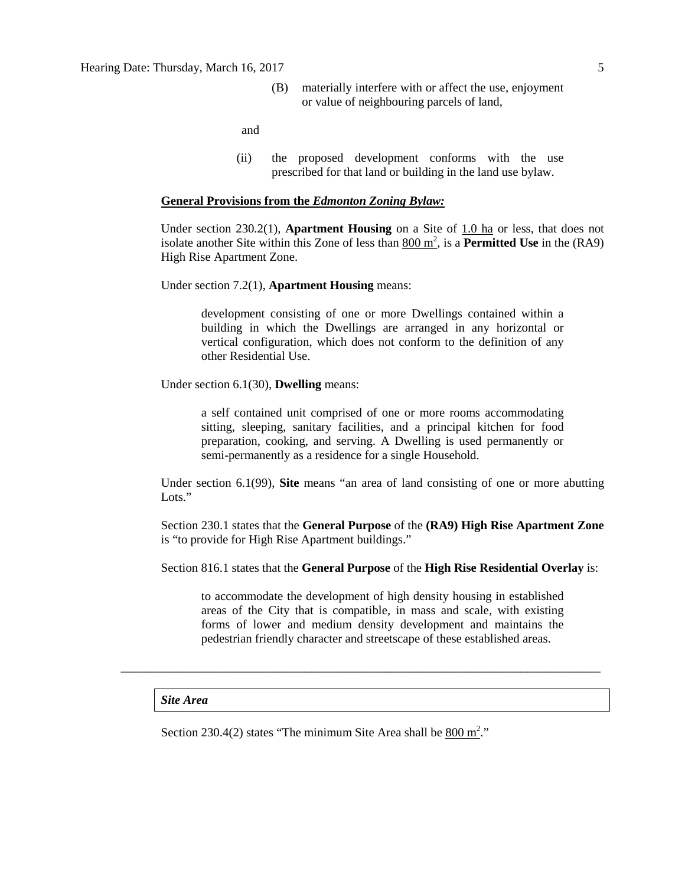(B) materially interfere with or affect the use, enjoyment or value of neighbouring parcels of land,

and

(ii) the proposed development conforms with the use prescribed for that land or building in the land use bylaw.

#### **General Provisions from the** *Edmonton Zoning Bylaw:*

Under section 230.2(1), **Apartment Housing** on a Site of 1.0 ha or less, that does not isolate another Site within this Zone of less than  $\underline{800 \text{ m}^2}$ , is a **Permitted Use** in the (RA9) High Rise Apartment Zone.

Under section 7.2(1), **Apartment Housing** means:

development consisting of one or more Dwellings contained within a building in which the Dwellings are arranged in any horizontal or vertical configuration, which does not conform to the definition of any other Residential Use.

Under section 6.1(30), **Dwelling** means:

a self contained unit comprised of one or more rooms accommodating sitting, sleeping, sanitary facilities, and a principal kitchen for food preparation, cooking, and serving. A Dwelling is used permanently or semi-permanently as a residence for a single Household.

Under section 6.1(99), **Site** means "an area of land consisting of one or more abutting Lots."

Section 230.1 states that the **General Purpose** of the **(RA9) High Rise Apartment Zone**  is "to provide for High Rise Apartment buildings."

Section 816.1 states that the **General Purpose** of the **High Rise Residential Overlay** is:

to accommodate the development of high density housing in established areas of the City that is compatible, in mass and scale, with existing forms of lower and medium density development and maintains the pedestrian friendly character and streetscape of these established areas.

\_\_\_\_\_\_\_\_\_\_\_\_\_\_\_\_\_\_\_\_\_\_\_\_\_\_\_\_\_\_\_\_\_\_\_\_\_\_\_\_\_\_\_\_\_\_\_\_\_\_\_\_\_\_\_\_\_\_\_\_\_\_\_\_\_\_\_\_\_\_\_\_\_\_\_\_\_\_

#### *Site Area*

Section 230.4(2) states "The minimum Site Area shall be  $800 \text{ m}^2$ ."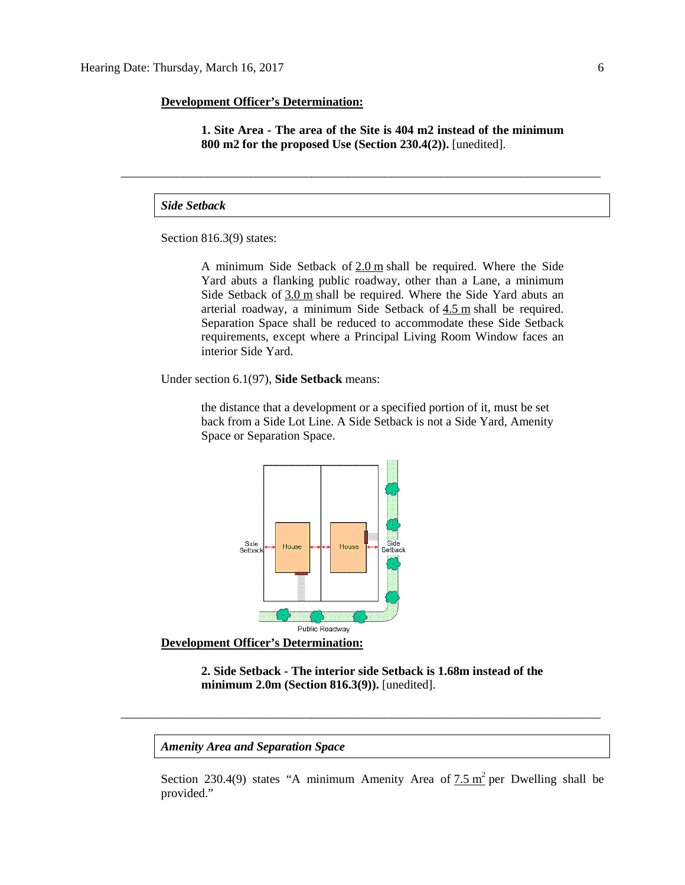## **Development Officer's Determination:**

**1. Site Area - The area of the Site is 404 m2 instead of the minimum 800 m2 for the proposed Use (Section 230.4(2)).** [unedited].

\_\_\_\_\_\_\_\_\_\_\_\_\_\_\_\_\_\_\_\_\_\_\_\_\_\_\_\_\_\_\_\_\_\_\_\_\_\_\_\_\_\_\_\_\_\_\_\_\_\_\_\_\_\_\_\_\_\_\_\_\_\_\_\_\_\_\_\_\_\_\_\_\_\_\_\_\_\_

*Side Setback*

Section 816.3(9) states:

A minimum Side Setback of [2.0](javascript:void(0);) m shall be required. Where the Side Yard abuts a flanking public roadway, other than a Lane, a minimum Side Setback of [3.0](javascript:void(0);) m shall be required. Where the Side Yard abuts an arterial roadway, a minimum Side Setback of [4.5](javascript:void(0);) m shall be required. Separation Space shall be reduced to accommodate these Side Setback requirements, except where a Principal Living Room Window faces an interior Side Yard.

Under section 6.1(97), **Side Setback** means:

the distance that a development or a specified portion of it, must be set back from a Side Lot Line. A Side Setback is not a Side Yard, Amenity Space or Separation Space.



**Development Officer's Determination:**

**2. Side Setback - The interior side Setback is 1.68m instead of the minimum 2.0m (Section 816.3(9)).** [unedited].

\_\_\_\_\_\_\_\_\_\_\_\_\_\_\_\_\_\_\_\_\_\_\_\_\_\_\_\_\_\_\_\_\_\_\_\_\_\_\_\_\_\_\_\_\_\_\_\_\_\_\_\_\_\_\_\_\_\_\_\_\_\_\_\_\_\_\_\_\_\_\_\_\_\_\_\_\_\_

*Amenity Area and Separation Space*

Section 230.4(9) states "A minimum Amenity Area of [7.5](javascript:void(0);)  $m^2$  per Dwelling shall be provided."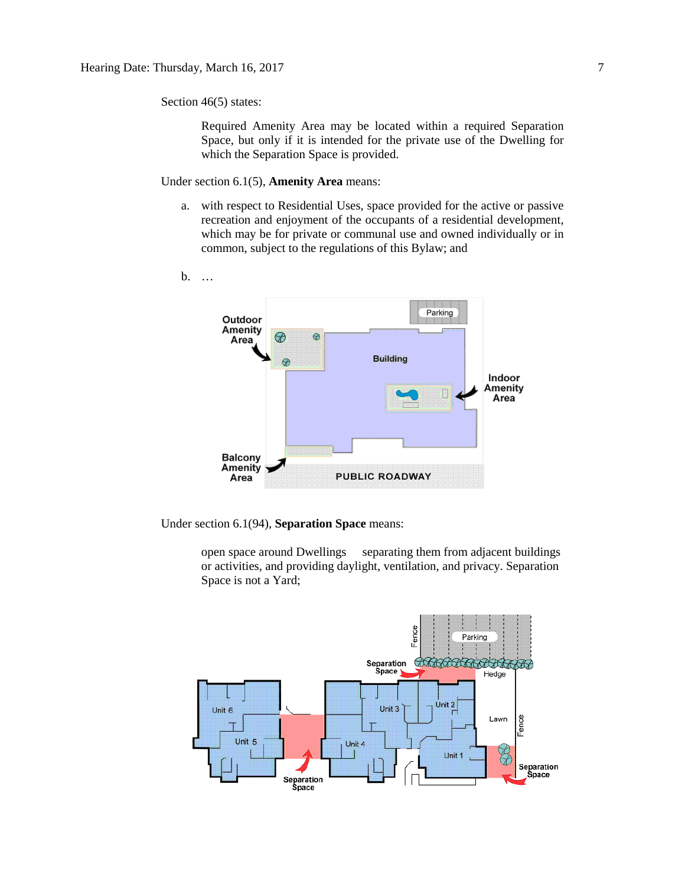Section 46(5) states:

Required Amenity Area may be located within a required Separation Space, but only if it is intended for the private use of the Dwelling for which the Separation Space is provided.

Under section 6.1(5), **Amenity Area** means:

a. with respect to Residential Uses, space provided for the active or passive recreation and enjoyment of the occupants of a residential development, which may be for private or communal use and owned individually or in common, subject to the regulations of this Bylaw; and



Under section 6.1(94), **Separation Space** means:

open space around Dwellings separating them from adjacent buildings or activities, and providing daylight, ventilation, and privacy. Separation Space is not a Yard;

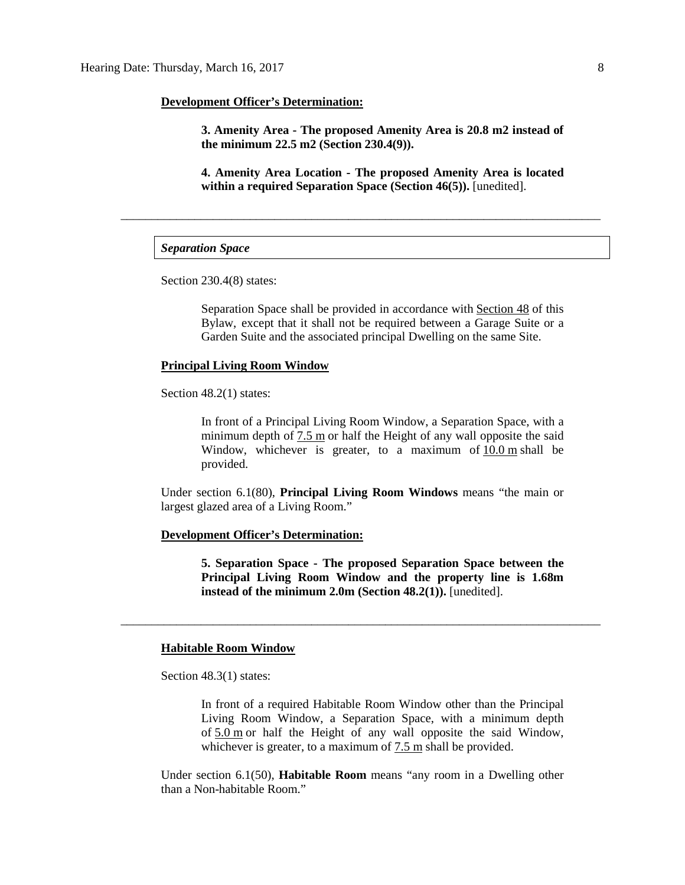#### **Development Officer's Determination:**

**3. Amenity Area - The proposed Amenity Area is 20.8 m2 instead of the minimum 22.5 m2 (Section 230.4(9)).**

**4. Amenity Area Location - The proposed Amenity Area is located within a required Separation Space (Section 46(5)).** [unedited].

\_\_\_\_\_\_\_\_\_\_\_\_\_\_\_\_\_\_\_\_\_\_\_\_\_\_\_\_\_\_\_\_\_\_\_\_\_\_\_\_\_\_\_\_\_\_\_\_\_\_\_\_\_\_\_\_\_\_\_\_\_\_\_\_\_\_\_\_\_\_\_\_\_\_\_\_\_\_

## *Separation Space*

Section 230.4(8) states:

Separation Space shall be provided in accordance with [Section 48](http://webdocs.edmonton.ca/InfraPlan/zoningbylaw/ZoningBylaw/Part1/Development/48__Separation_Space.htm) of this Bylaw, except that it shall not be required between a Garage Suite or a Garden Suite and the associated principal Dwelling on the same Site.

#### **Principal Living Room Window**

Section 48.2(1) states:

In front of a Principal Living Room Window, a Separation Space, with a minimum depth of [7.5](javascript:void(0);) m or half the Height of any wall opposite the said Window, whichever is greater, to a maximum of [10.0](javascript:void(0);) m shall be provided.

Under section 6.1(80), **Principal Living Room Windows** means "the main or largest glazed area of a Living Room."

\_\_\_\_\_\_\_\_\_\_\_\_\_\_\_\_\_\_\_\_\_\_\_\_\_\_\_\_\_\_\_\_\_\_\_\_\_\_\_\_\_\_\_\_\_\_\_\_\_\_\_\_\_\_\_\_\_\_\_\_\_\_\_\_\_\_\_\_\_\_\_\_\_\_\_\_\_\_

## **Development Officer's Determination:**

**5. Separation Space - The proposed Separation Space between the Principal Living Room Window and the property line is 1.68m instead of the minimum 2.0m (Section 48.2(1)).** [unedited].

#### **Habitable Room Window**

Section 48.3(1) states:

In front of a required Habitable Room Window other than the Principal Living Room Window, a Separation Space, with a minimum depth of [5.0](javascript:void(0);) m or half the Height of any wall opposite the said Window, whichever is greater, to a maximum of [7.5](javascript:void(0);) m shall be provided.

Under section 6.1(50), **Habitable Room** means "any room in a Dwelling other than a Non-habitable Room."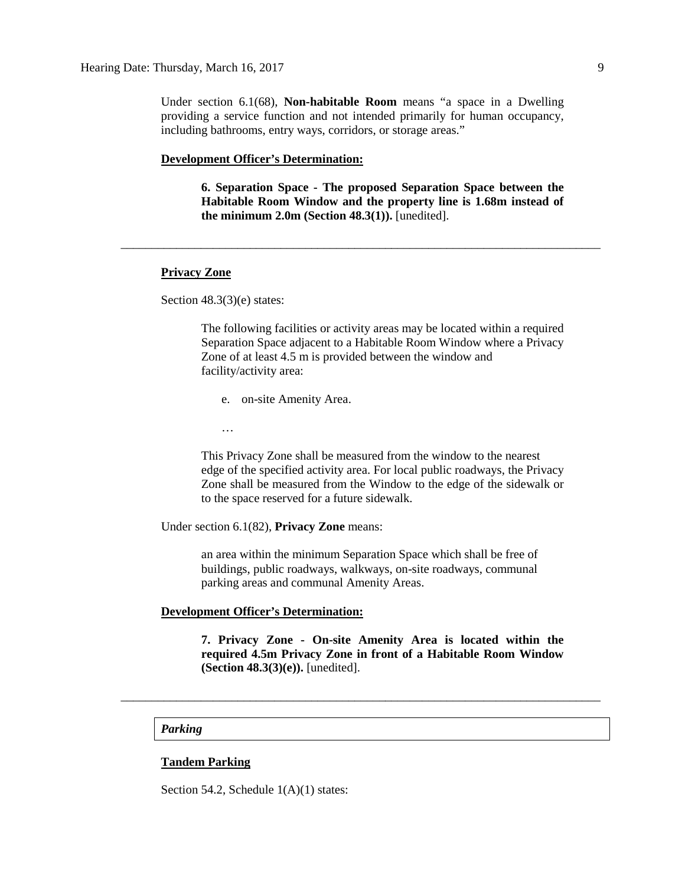Under section 6.1(68), **Non-habitable Room** means "a space in a Dwelling providing a service function and not intended primarily for human occupancy, including bathrooms, entry ways, corridors, or storage areas."

\_\_\_\_\_\_\_\_\_\_\_\_\_\_\_\_\_\_\_\_\_\_\_\_\_\_\_\_\_\_\_\_\_\_\_\_\_\_\_\_\_\_\_\_\_\_\_\_\_\_\_\_\_\_\_\_\_\_\_\_\_\_\_\_\_\_\_\_\_\_\_\_\_\_\_\_\_\_

## **Development Officer's Determination:**

**6. Separation Space - The proposed Separation Space between the Habitable Room Window and the property line is 1.68m instead of the minimum 2.0m (Section 48.3(1)).** [unedited].

## **Privacy Zone**

Section 48.3(3)(e) states:

The following facilities or activity areas may be located within a required Separation Space adjacent to a Habitable Room Window where a Privacy Zone of at least 4.5 m is provided between the window and facility/activity area:

- e. on-site Amenity Area.
- …

This Privacy Zone shall be measured from the window to the nearest edge of the specified activity area. For local public roadways, the Privacy Zone shall be measured from the Window to the edge of the sidewalk or to the space reserved for a future sidewalk.

Under section 6.1(82), **Privacy Zone** means:

an area within the minimum Separation Space which shall be free of buildings, public roadways, walkways, on-site roadways, communal parking areas and communal Amenity Areas.

## **Development Officer's Determination:**

**7. Privacy Zone - On-site Amenity Area is located within the required 4.5m Privacy Zone in front of a Habitable Room Window (Section 48.3(3)(e)).** [unedited].

\_\_\_\_\_\_\_\_\_\_\_\_\_\_\_\_\_\_\_\_\_\_\_\_\_\_\_\_\_\_\_\_\_\_\_\_\_\_\_\_\_\_\_\_\_\_\_\_\_\_\_\_\_\_\_\_\_\_\_\_\_\_\_\_\_\_\_\_\_\_\_\_\_\_\_\_\_\_

#### *Parking*

## **Tandem Parking**

Section 54.2, Schedule  $1(A)(1)$  states: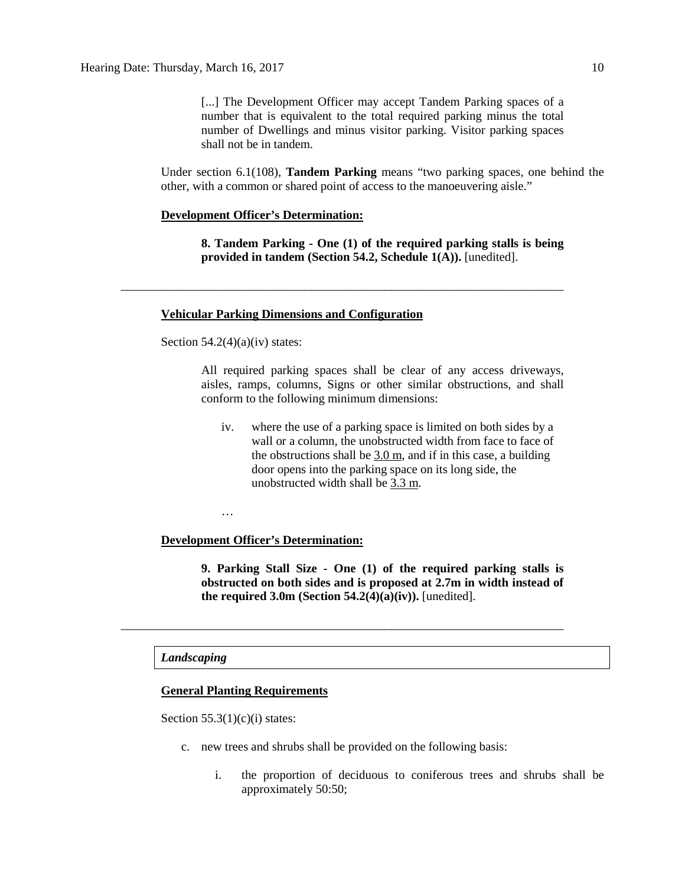[...] The Development Officer may accept Tandem Parking spaces of a number that is equivalent to the total required parking minus the total number of Dwellings and minus visitor parking. Visitor parking spaces shall not be in tandem.

Under section 6.1(108), **Tandem Parking** means "two parking spaces, one behind the other, with a common or shared point of access to the manoeuvering aisle."

## **Development Officer's Determination:**

**8. Tandem Parking - One (1) of the required parking stalls is being provided in tandem (Section 54.2, Schedule 1(A)).** [unedited].

\_\_\_\_\_\_\_\_\_\_\_\_\_\_\_\_\_\_\_\_\_\_\_\_\_\_\_\_\_\_\_\_\_\_\_\_\_\_\_\_\_\_\_\_\_\_\_\_\_\_\_\_\_\_\_\_\_\_\_\_\_\_\_\_\_\_\_\_\_\_\_\_

## **Vehicular Parking Dimensions and Configuration**

Section  $54.2(4)(a)(iv)$  states:

All required parking spaces shall be clear of any access driveways, aisles, ramps, columns, Signs or other similar obstructions, and shall conform to the following minimum dimensions:

iv. where the use of a parking space is limited on both sides by a wall or a column, the unobstructed width from face to face of the obstructions shall be  $3.0 \text{ m}$ , and if in this case, a building door opens into the parking space on its long side, the unobstructed width shall be 3.3 m.

…

## **Development Officer's Determination:**

**9. Parking Stall Size - One (1) of the required parking stalls is obstructed on both sides and is proposed at 2.7m in width instead of the required 3.0m (Section 54.2(4)(a)(iv)).** [unedited].

## *Landscaping*

## **General Planting Requirements**

Section  $55.3(1)(c)(i)$  states:

c. new trees and shrubs shall be provided on the following basis:

\_\_\_\_\_\_\_\_\_\_\_\_\_\_\_\_\_\_\_\_\_\_\_\_\_\_\_\_\_\_\_\_\_\_\_\_\_\_\_\_\_\_\_\_\_\_\_\_\_\_\_\_\_\_\_\_\_\_\_\_\_\_\_\_\_\_\_\_\_\_\_\_

i. the proportion of deciduous to coniferous trees and shrubs shall be approximately 50:50;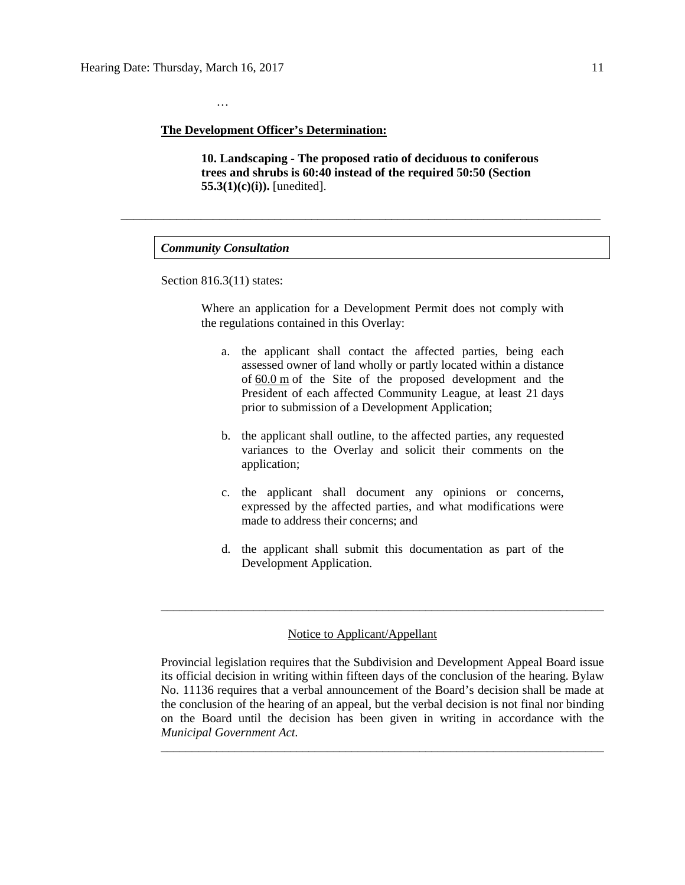#### **The Development Officer's Determination:**

**10. Landscaping - The proposed ratio of deciduous to coniferous trees and shrubs is 60:40 instead of the required 50:50 (Section 55.3(1)(c)(i)).** [unedited].

\_\_\_\_\_\_\_\_\_\_\_\_\_\_\_\_\_\_\_\_\_\_\_\_\_\_\_\_\_\_\_\_\_\_\_\_\_\_\_\_\_\_\_\_\_\_\_\_\_\_\_\_\_\_\_\_\_\_\_\_\_\_\_\_\_\_\_\_\_\_\_\_\_\_\_\_\_\_

### *Community Consultation*

…

Section 816.3(11) states:

Where an application for a Development Permit does not comply with the regulations contained in this Overlay:

- a. the applicant shall contact the affected parties, being each assessed owner of land wholly or partly located within a distance of [60.0](javascript:void(0);) m of the Site of the proposed development and the President of each affected Community League, at least 21 days prior to submission of a Development Application;
- b. the applicant shall outline, to the affected parties, any requested variances to the Overlay and solicit their comments on the application;
- c. the applicant shall document any opinions or concerns, expressed by the affected parties, and what modifications were made to address their concerns; and
- d. the applicant shall submit this documentation as part of the Development Application.

## Notice to Applicant/Appellant

Provincial legislation requires that the Subdivision and Development Appeal Board issue its official decision in writing within fifteen days of the conclusion of the hearing. Bylaw No. 11136 requires that a verbal announcement of the Board's decision shall be made at the conclusion of the hearing of an appeal, but the verbal decision is not final nor binding on the Board until the decision has been given in writing in accordance with the *Municipal Government Act.*

\_\_\_\_\_\_\_\_\_\_\_\_\_\_\_\_\_\_\_\_\_\_\_\_\_\_\_\_\_\_\_\_\_\_\_\_\_\_\_\_\_\_\_\_\_\_\_\_\_\_\_\_\_\_\_\_\_\_\_\_\_\_\_\_\_\_\_\_\_\_\_\_

\_\_\_\_\_\_\_\_\_\_\_\_\_\_\_\_\_\_\_\_\_\_\_\_\_\_\_\_\_\_\_\_\_\_\_\_\_\_\_\_\_\_\_\_\_\_\_\_\_\_\_\_\_\_\_\_\_\_\_\_\_\_\_\_\_\_\_\_\_\_\_\_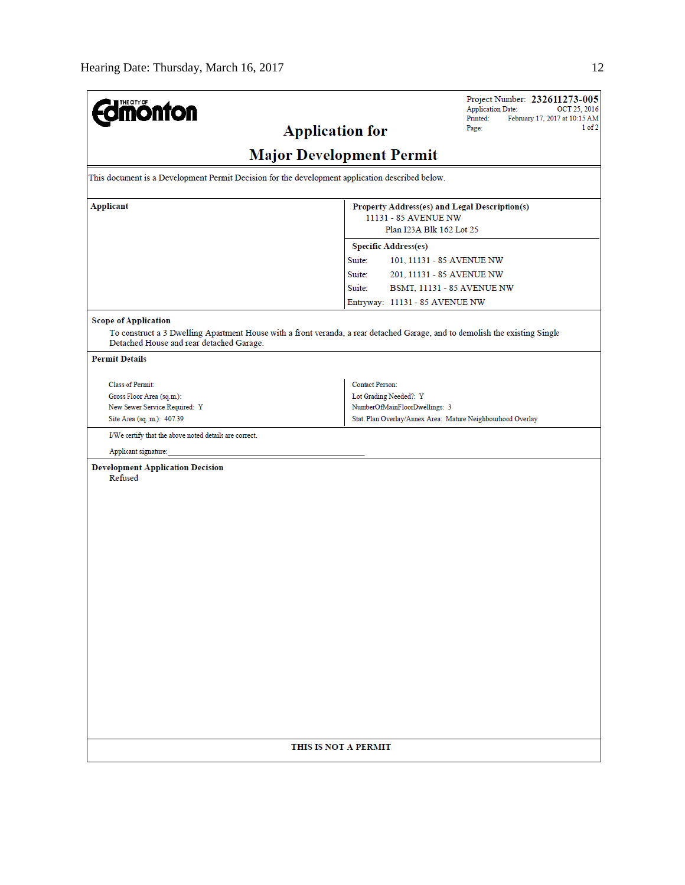| <b>dmönton</b>                                                                                                                                                          | Project Number: 232611273-005<br><b>Application Date:</b><br>OCT 25, 2016                         |  |  |  |  |  |  |  |
|-------------------------------------------------------------------------------------------------------------------------------------------------------------------------|---------------------------------------------------------------------------------------------------|--|--|--|--|--|--|--|
|                                                                                                                                                                         | Printed:<br>February 17, 2017 at 10:15 AM<br>1 of 2<br>Page:                                      |  |  |  |  |  |  |  |
| <b>Application for</b>                                                                                                                                                  |                                                                                                   |  |  |  |  |  |  |  |
| <b>Major Development Permit</b>                                                                                                                                         |                                                                                                   |  |  |  |  |  |  |  |
| This document is a Development Permit Decision for the development application described below.                                                                         |                                                                                                   |  |  |  |  |  |  |  |
| <b>Applicant</b>                                                                                                                                                        | Property Address(es) and Legal Description(s)<br>11131 - 85 AVENUE NW<br>Plan I23A Blk 162 Lot 25 |  |  |  |  |  |  |  |
|                                                                                                                                                                         |                                                                                                   |  |  |  |  |  |  |  |
|                                                                                                                                                                         |                                                                                                   |  |  |  |  |  |  |  |
|                                                                                                                                                                         | <b>Specific Address(es)</b>                                                                       |  |  |  |  |  |  |  |
|                                                                                                                                                                         | Suite:<br>101, 11131 - 85 AVENUE NW                                                               |  |  |  |  |  |  |  |
|                                                                                                                                                                         | Suite:<br>201, 11131 - 85 AVENUE NW                                                               |  |  |  |  |  |  |  |
|                                                                                                                                                                         | Suite:<br>BSMT, 11131 - 85 AVENUE NW                                                              |  |  |  |  |  |  |  |
|                                                                                                                                                                         | Entryway: 11131 - 85 AVENUE NW                                                                    |  |  |  |  |  |  |  |
| <b>Scope of Application</b>                                                                                                                                             |                                                                                                   |  |  |  |  |  |  |  |
| To construct a 3 Dwelling Apartment House with a front veranda, a rear detached Garage, and to demolish the existing Single<br>Detached House and rear detached Garage. |                                                                                                   |  |  |  |  |  |  |  |
| <b>Permit Details</b>                                                                                                                                                   |                                                                                                   |  |  |  |  |  |  |  |
| Class of Permit:                                                                                                                                                        | <b>Contact Person:</b>                                                                            |  |  |  |  |  |  |  |
| Gross Floor Area (sq.m.):                                                                                                                                               | Lot Grading Needed?: Y                                                                            |  |  |  |  |  |  |  |
| New Sewer Service Required: Y                                                                                                                                           | NumberOfMainFloorDwellings: 3                                                                     |  |  |  |  |  |  |  |
| Site Area (sq. m.): 407.39                                                                                                                                              | Stat. Plan Overlay/Annex Area: Mature Neighbourhood Overlay                                       |  |  |  |  |  |  |  |
| I/We certify that the above noted details are correct.                                                                                                                  |                                                                                                   |  |  |  |  |  |  |  |
| Applicant signature:                                                                                                                                                    |                                                                                                   |  |  |  |  |  |  |  |
| <b>Development Application Decision</b><br>Refused                                                                                                                      |                                                                                                   |  |  |  |  |  |  |  |
|                                                                                                                                                                         |                                                                                                   |  |  |  |  |  |  |  |
|                                                                                                                                                                         |                                                                                                   |  |  |  |  |  |  |  |
|                                                                                                                                                                         |                                                                                                   |  |  |  |  |  |  |  |
|                                                                                                                                                                         |                                                                                                   |  |  |  |  |  |  |  |
|                                                                                                                                                                         |                                                                                                   |  |  |  |  |  |  |  |
|                                                                                                                                                                         |                                                                                                   |  |  |  |  |  |  |  |
|                                                                                                                                                                         |                                                                                                   |  |  |  |  |  |  |  |
|                                                                                                                                                                         |                                                                                                   |  |  |  |  |  |  |  |
|                                                                                                                                                                         |                                                                                                   |  |  |  |  |  |  |  |
|                                                                                                                                                                         |                                                                                                   |  |  |  |  |  |  |  |
|                                                                                                                                                                         |                                                                                                   |  |  |  |  |  |  |  |
|                                                                                                                                                                         |                                                                                                   |  |  |  |  |  |  |  |
|                                                                                                                                                                         |                                                                                                   |  |  |  |  |  |  |  |
|                                                                                                                                                                         |                                                                                                   |  |  |  |  |  |  |  |
|                                                                                                                                                                         |                                                                                                   |  |  |  |  |  |  |  |
|                                                                                                                                                                         |                                                                                                   |  |  |  |  |  |  |  |
|                                                                                                                                                                         |                                                                                                   |  |  |  |  |  |  |  |
|                                                                                                                                                                         |                                                                                                   |  |  |  |  |  |  |  |
|                                                                                                                                                                         |                                                                                                   |  |  |  |  |  |  |  |
| THIS IS NOT A PERMIT                                                                                                                                                    |                                                                                                   |  |  |  |  |  |  |  |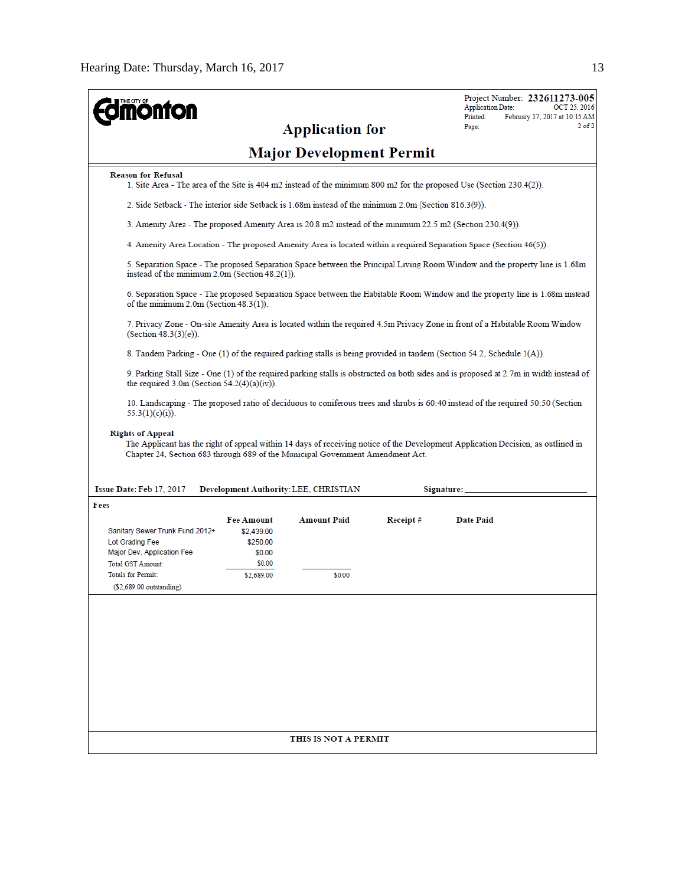| <b>nonton</b>                                                                                                                                                                                                                                                                                                                            |                                                                                                                             |                              |          | Project Number: 232611273-005<br><b>Application Date:</b><br>OCT 25, 2016<br>Printed:<br>February 17, 2017 at 10:15 AM                 |  |  |  |  |  |                                                                                                                                                                                                                                                                                                                                                                    |  |  |  |  |  |  |  |  |
|------------------------------------------------------------------------------------------------------------------------------------------------------------------------------------------------------------------------------------------------------------------------------------------------------------------------------------------|-----------------------------------------------------------------------------------------------------------------------------|------------------------------|----------|----------------------------------------------------------------------------------------------------------------------------------------|--|--|--|--|--|--------------------------------------------------------------------------------------------------------------------------------------------------------------------------------------------------------------------------------------------------------------------------------------------------------------------------------------------------------------------|--|--|--|--|--|--|--|--|
|                                                                                                                                                                                                                                                                                                                                          |                                                                                                                             | <b>Application for</b>       |          | $2$ of $2$<br>Page:                                                                                                                    |  |  |  |  |  |                                                                                                                                                                                                                                                                                                                                                                    |  |  |  |  |  |  |  |  |
| <b>Major Development Permit</b>                                                                                                                                                                                                                                                                                                          |                                                                                                                             |                              |          |                                                                                                                                        |  |  |  |  |  |                                                                                                                                                                                                                                                                                                                                                                    |  |  |  |  |  |  |  |  |
| <b>Reason for Refusal</b>                                                                                                                                                                                                                                                                                                                |                                                                                                                             |                              |          | 1. Site Area - The area of the Site is 404 m2 instead of the minimum 800 m2 for the proposed Use (Section 230.4(2)).                   |  |  |  |  |  |                                                                                                                                                                                                                                                                                                                                                                    |  |  |  |  |  |  |  |  |
| 2. Side Setback - The interior side Setback is 1.68m instead of the minimum 2.0m (Section 816.3(9)).<br>3. Amenity Area - The proposed Amenity Area is 20.8 m2 instead of the minimum 22.5 m2 (Section 230.4(9)).<br>4. Amenity Area Location - The proposed Amenity Area is located within a required Separation Space (Section 46(5)). |                                                                                                                             |                              |          |                                                                                                                                        |  |  |  |  |  |                                                                                                                                                                                                                                                                                                                                                                    |  |  |  |  |  |  |  |  |
|                                                                                                                                                                                                                                                                                                                                          |                                                                                                                             |                              |          |                                                                                                                                        |  |  |  |  |  | 5. Separation Space - The proposed Separation Space between the Principal Living Room Window and the property line is 1.68m<br>instead of the minimum $2.0$ m (Section $48.2(1)$ ).<br>6. Separation Space - The proposed Separation Space between the Habitable Room Window and the property line is 1.68m instead<br>of the minimum $2.0m$ (Section $48.3(1)$ ). |  |  |  |  |  |  |  |  |
|                                                                                                                                                                                                                                                                                                                                          |                                                                                                                             |                              |          |                                                                                                                                        |  |  |  |  |  |                                                                                                                                                                                                                                                                                                                                                                    |  |  |  |  |  |  |  |  |
| (Section 48.3(3)(e)).                                                                                                                                                                                                                                                                                                                    | 7. Privacy Zone - On-site Amenity Area is located within the required 4.5m Privacy Zone in front of a Habitable Room Window |                              |          |                                                                                                                                        |  |  |  |  |  |                                                                                                                                                                                                                                                                                                                                                                    |  |  |  |  |  |  |  |  |
|                                                                                                                                                                                                                                                                                                                                          |                                                                                                                             |                              |          | 8. Tandem Parking - One (1) of the required parking stalls is being provided in tandem (Section 54.2, Schedule 1(A)).                  |  |  |  |  |  |                                                                                                                                                                                                                                                                                                                                                                    |  |  |  |  |  |  |  |  |
| the required $3.0m$ (Section $54.2(4)(a)(iv)$ ).                                                                                                                                                                                                                                                                                         |                                                                                                                             |                              |          | 9. Parking Stall Size - One (1) of the required parking stalls is obstructed on both sides and is proposed at 2.7m in width instead of |  |  |  |  |  |                                                                                                                                                                                                                                                                                                                                                                    |  |  |  |  |  |  |  |  |
| 55.3(1)(c)(i)).                                                                                                                                                                                                                                                                                                                          | 10.50 10:50 10:50 10:51 10:51 10:50 10:50 10:51 10:51 10:51 10:51 10:51 10:51 10:51 10:50 10:50 10:50 10:50 10              |                              |          |                                                                                                                                        |  |  |  |  |  |                                                                                                                                                                                                                                                                                                                                                                    |  |  |  |  |  |  |  |  |
| <b>Rights of Appeal</b><br>The Applicant has the right of appeal within 14 days of receiving notice of the Development Application Decision, as outlined in<br>Chapter 24, Section 683 through 689 of the Municipal Government Amendment Act.<br>Issue Date: Feb 17, 2017<br>Development Authority: LEE, CHRISTIAN<br>Signature:         |                                                                                                                             |                              |          |                                                                                                                                        |  |  |  |  |  |                                                                                                                                                                                                                                                                                                                                                                    |  |  |  |  |  |  |  |  |
| Fees                                                                                                                                                                                                                                                                                                                                     |                                                                                                                             |                              |          |                                                                                                                                        |  |  |  |  |  |                                                                                                                                                                                                                                                                                                                                                                    |  |  |  |  |  |  |  |  |
| Sanitary Sewer Trunk Fund 2012+<br>Lot Grading Fee<br>Major Dev. Application Fee<br>Total GST Amount:<br><b>Totals for Permit:</b><br>(\$2,689.00 outstanding)                                                                                                                                                                           | Fee Amount<br>\$2,439.00<br>\$250.00<br>\$0.00<br>\$0.00<br>\$2,689.00                                                      | <b>Amount Paid</b><br>\$0.00 | Receipt# | <b>Date Paid</b>                                                                                                                       |  |  |  |  |  |                                                                                                                                                                                                                                                                                                                                                                    |  |  |  |  |  |  |  |  |
|                                                                                                                                                                                                                                                                                                                                          |                                                                                                                             |                              |          |                                                                                                                                        |  |  |  |  |  |                                                                                                                                                                                                                                                                                                                                                                    |  |  |  |  |  |  |  |  |
|                                                                                                                                                                                                                                                                                                                                          | THIS IS NOT A PERMIT                                                                                                        |                              |          |                                                                                                                                        |  |  |  |  |  |                                                                                                                                                                                                                                                                                                                                                                    |  |  |  |  |  |  |  |  |